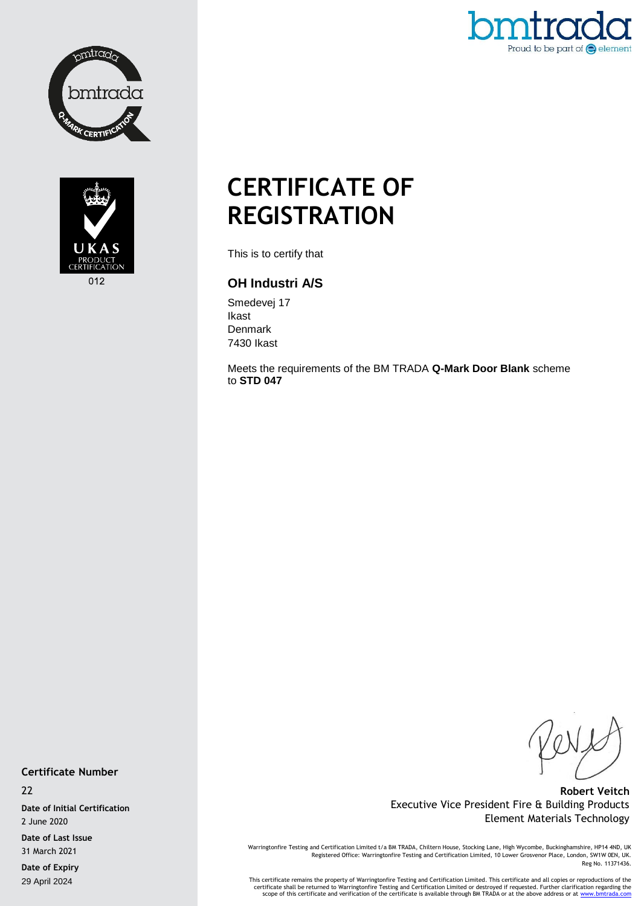



Proud to be part of  $\bigodot$  element

## **CERTIFICATE OF REGISTRATION**

This is to certify that

## **OH Industri A/S**

Smedevej 17 Ikast Denmark 7430 Ikast

Meets the requirements of the BM TRADA **Q-Mark Door Blank** scheme to **STD 047**

**Certificate Number**

22

**Date of Initial Certification** 2 June 2020

**Date of Last Issue** 31 March 2021

**Date of Expiry** 29 April 2024

**Robert Veitch** Executive Vice President Fire & Building Products Element Materials Technology

Warringtonfire Testing and Certification Limited t/a BM TRADA, Chiltern House, Stocking Lane, High Wycombe, Buckinghamshire, HP14 4ND, UK Registered Office: Warringtonfire Testing and Certification Limited, 10 Lower Grosvenor Place, London, SW1W 0EN, UK. Reg No. 11371436.

This certificate remains the property of Warringtonfire Testing and Certification Limited. This certificate and all copies or reproductions of the<br>Certificate shall be returned to Warringtonfire Testing and Certification L